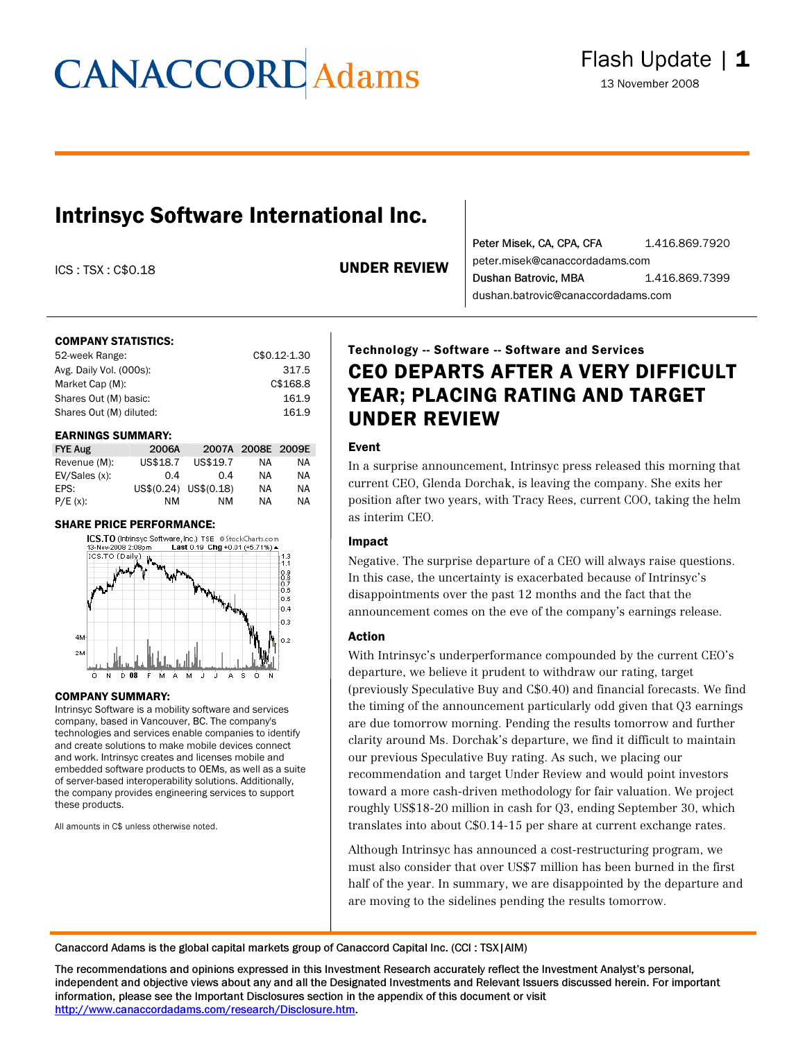# **CANACCORD** Adams

### Intrinsyc Software International Inc.

ICS : TSX : C\$0.18 UNDER REVIEW

Peter Misek, CA, CPA, CFA 1.416.869.7920 peter.misek@canaccordadams.com Dushan Batrovic, MBA 1.416.869.7399 dushan.batrovic@canaccordadams.com

### COMPANY STATISTICS:

| 52-week Range:          | C\$0.12-1.30 |
|-------------------------|--------------|
| Avg. Daily Vol. (000s): | 317.5        |
| Market Cap (M):         | C\$168.8     |
| Shares Out (M) basic:   | 161.9        |
| Shares Out (M) diluted: | 161.9        |
|                         |              |

#### EARNINGS SUMMARY:

| <b>FYE Aug</b> | 2006A    |                       | 2007A 2008E 2009E |    |
|----------------|----------|-----------------------|-------------------|----|
| Revenue (M):   | US\$18.7 | US\$19.7              | ΝA                | ΝA |
| EV/Sales(x):   | 0.4      | 0.4                   | ΝA                | NA |
| EPS:           |          | US\$(0.24) US\$(0.18) | NA                | NA |
| $P/E(x)$ :     | ΝM       | ΝM                    | ΝA                | ΝA |

#### SHARE PRICE PERFORMANCE:



#### COMPANY SUMMARY:

Intrinsyc Software is a mobility software and services company, based in Vancouver, BC. The company's technologies and services enable companies to identify and create solutions to make mobile devices connect and work. Intrinsyc creates and licenses mobile and embedded software products to OEMs, as well as a suite of server-based interoperability solutions. Additionally, the company provides engineering services to support these products.

All amounts in C\$ unless otherwise noted.

### Technology -- Software -- Software and Services CEO DEPARTS AFTER A VERY DIFFICULT YEAR; PLACING RATING AND TARGET UNDER REVIEW

### Event

In a surprise announcement, Intrinsyc press released this morning that current CEO, Glenda Dorchak, is leaving the company. She exits her position after two years, with Tracy Rees, current COO, taking the helm as interim CEO.

### Impact

Negative. The surprise departure of a CEO will always raise questions. In this case, the uncertainty is exacerbated because of Intrinsyc's disappointments over the past 12 months and the fact that the announcement comes on the eve of the company's earnings release.

### Action

With Intrinsyc's underperformance compounded by the current CEO's departure, we believe it prudent to withdraw our rating, target (previously Speculative Buy and C\$0.40) and financial forecasts. We find the timing of the announcement particularly odd given that Q3 earnings are due tomorrow morning. Pending the results tomorrow and further clarity around Ms. Dorchak's departure, we find it difficult to maintain our previous Speculative Buy rating. As such, we placing our recommendation and target Under Review and would point investors toward a more cash-driven methodology for fair valuation. We project roughly US\$18-20 million in cash for Q3, ending September 30, which translates into about C\$0.14-15 per share at current exchange rates.

Although Intrinsyc has announced a cost-restructuring program, we must also consider that over US\$7 million has been burned in the first half of the year. In summary, we are disappointed by the departure and are moving to the sidelines pending the results tomorrow.

Canaccord Adams is the global capital markets group of Canaccord Capital Inc. (CCI : TSX|AIM)

The recommendations and opinions expressed in this Investment Research accurately reflect the Investment Analyst's personal, independent and objective views about any and all the Designated Investments and Relevant Issuers discussed herein. For important information, please see the Important Disclosures section in the appendix of this document or visit [http://www.canaccordadams.com/research/Disclosure.htm.](http://www.canaccordadams.com/research/Disclosure.htm)

L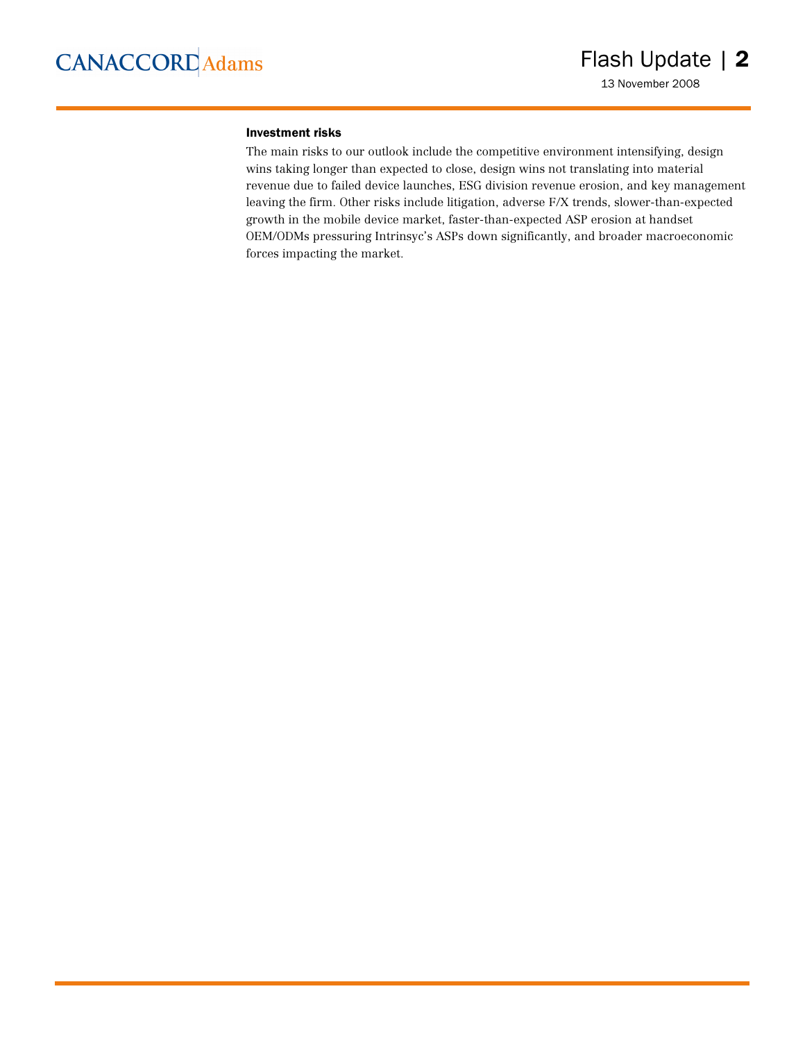#### Investment risks

The main risks to our outlook include the competitive environment intensifying, design wins taking longer than expected to close, design wins not translating into material revenue due to failed device launches, ESG division revenue erosion, and key management leaving the firm. Other risks include litigation, adverse F/X trends, slower-than-expected growth in the mobile device market, faster-than-expected ASP erosion at handset OEM/ODMs pressuring Intrinsyc's ASPs down significantly, and broader macroeconomic forces impacting the market.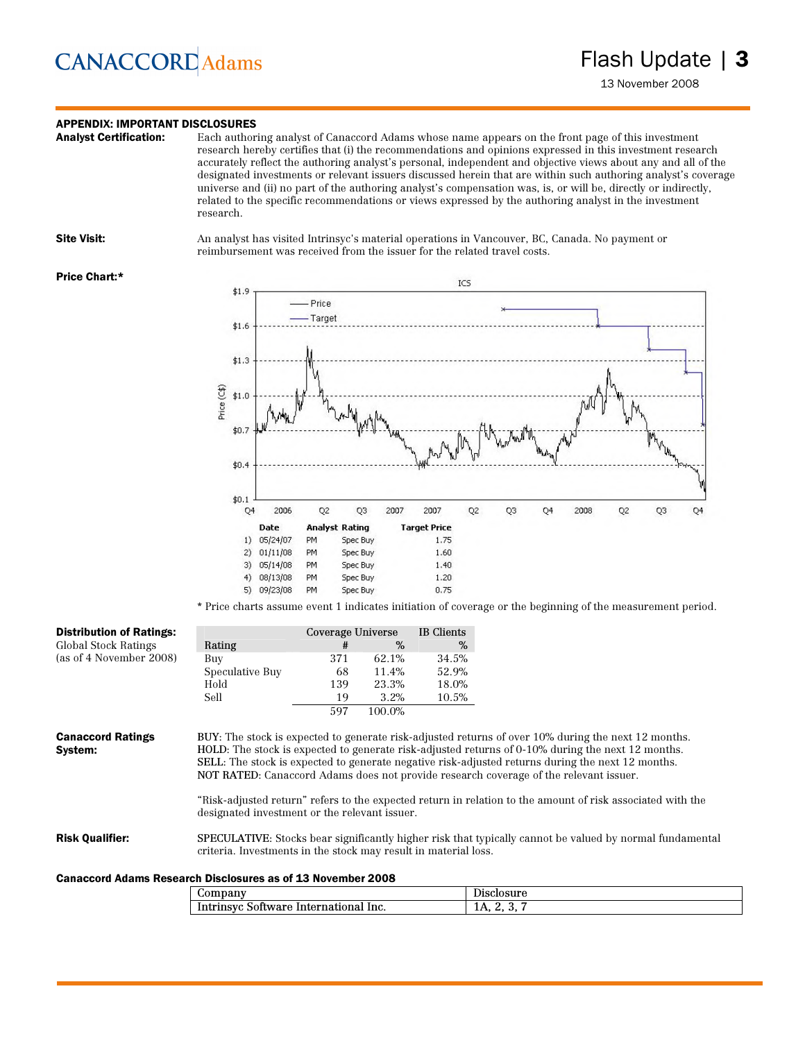# **CANACCORD** Adams

### **APPENDIX: IMPORTANT DISCLOSURES**<br>**Analyst Certification:** Each author

Each authoring analyst of Canaccord Adams whose name appears on the front page of this investment research hereby certifies that (i) the recommendations and opinions expressed in this investment research accurately reflect the authoring analyst's personal, independent and objective views about any and all of the designated investments or relevant issuers discussed herein that are within such authoring analyst's coverage universe and (ii) no part of the authoring analyst's compensation was, is, or will be, directly or indirectly, related to the specific recommendations or views expressed by the authoring analyst in the investment research.

Site Visit: An analyst has visited Intrinsyc's material operations in Vancouver, BC, Canada. No payment or reimbursement was received from the issuer for the related travel costs.

#### Price Chart:\*



\* Price charts assume event 1 indicates initiation of coverage or the beginning of the measurement period.

| <b>Distribution of Ratings:</b>                                    |                                                                                                                                                                                    | Coverage Universe |        | IB Clients |                                                                                                                                                                                                                                                                                                                                                                                                                                                                                                                              |
|--------------------------------------------------------------------|------------------------------------------------------------------------------------------------------------------------------------------------------------------------------------|-------------------|--------|------------|------------------------------------------------------------------------------------------------------------------------------------------------------------------------------------------------------------------------------------------------------------------------------------------------------------------------------------------------------------------------------------------------------------------------------------------------------------------------------------------------------------------------------|
| Global Stock Ratings                                               | Rating                                                                                                                                                                             | #                 | $\%$   | %          |                                                                                                                                                                                                                                                                                                                                                                                                                                                                                                                              |
| (as of 4 November 2008)                                            | Buy                                                                                                                                                                                | 371               | 62.1%  | 34.5%      |                                                                                                                                                                                                                                                                                                                                                                                                                                                                                                                              |
|                                                                    | Speculative Buy                                                                                                                                                                    | 68                | 11.4%  | 52.9%      |                                                                                                                                                                                                                                                                                                                                                                                                                                                                                                                              |
|                                                                    | Hold                                                                                                                                                                               | 139               | 23.3%  | 18.0%      |                                                                                                                                                                                                                                                                                                                                                                                                                                                                                                                              |
|                                                                    | Sell                                                                                                                                                                               | 19                | 3.2%   | 10.5%      |                                                                                                                                                                                                                                                                                                                                                                                                                                                                                                                              |
|                                                                    |                                                                                                                                                                                    | 597               | 100.0% |            |                                                                                                                                                                                                                                                                                                                                                                                                                                                                                                                              |
| <b>Canaccord Ratings</b><br>System:                                | designated investment or the relevant issuer.                                                                                                                                      |                   |        |            | BUY: The stock is expected to generate risk-adjusted returns of over 10% during the next 12 months.<br>HOLD: The stock is expected to generate risk-adjusted returns of 0-10% during the next 12 months.<br><b>SELL</b> : The stock is expected to generate negative risk-adjusted returns during the next 12 months.<br>NOT RATED: Canaccord Adams does not provide research coverage of the relevant issuer.<br>"Risk-adjusted return" refers to the expected return in relation to the amount of risk associated with the |
| <b>Risk Qualifier:</b>                                             | <b>SPECULATIVE:</b> Stocks bear significantly higher risk that typically cannot be valued by normal fundamental<br>criteria. Investments in the stock may result in material loss. |                   |        |            |                                                                                                                                                                                                                                                                                                                                                                                                                                                                                                                              |
| <b>Canaccord Adams Research Disclosures as of 13 November 2008</b> |                                                                                                                                                                                    |                   |        |            |                                                                                                                                                                                                                                                                                                                                                                                                                                                                                                                              |
|                                                                    | Company                                                                                                                                                                            |                   |        |            | Disclosure                                                                                                                                                                                                                                                                                                                                                                                                                                                                                                                   |

| $\omega$ ompany                                                    | -<br>$-1001180$<br>Disclosure |
|--------------------------------------------------------------------|-------------------------------|
| national<br>lnc.<br>Intern<br>501tware<br>$\mu$ and $\mu$ in $\mu$ | .<br>--                       |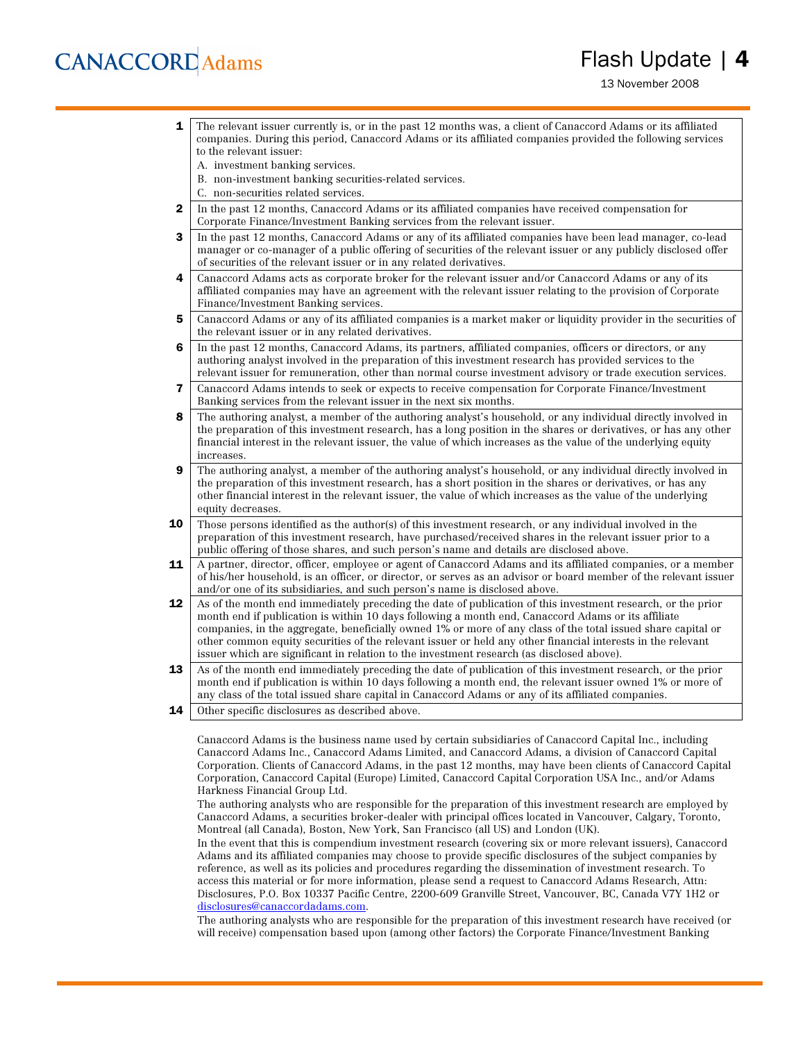# **CANACCORD** Adams

### Flash Update | 4

13 November 2008

- **1** The relevant issuer currently is, or in the past 12 months was, a client of Canaccord Adams or its affiliated companies. During this period, Canaccord Adams or its affiliated companies provided the following services to the relevant issuer:
	- A. investment banking services.
	- B. non-investment banking securities-related services.
	- C. non-securities related services.
- 2 In the past 12 months, Canaccord Adams or its affiliated companies have received compensation for Corporate Finance/Investment Banking services from the relevant issuer.
- **3** In the past 12 months, Canaccord Adams or any of its affiliated companies have been lead manager, co-lead manager or co-manager of a public offering of securities of the relevant issuer or any publicly disclosed offer of securities of the relevant issuer or in any related derivatives.
- 4 Canaccord Adams acts as corporate broker for the relevant issuer and/or Canaccord Adams or any of its affiliated companies may have an agreement with the relevant issuer relating to the provision of Corporate Finance/Investment Banking services.
- 5 Canaccord Adams or any of its affiliated companies is a market maker or liquidity provider in the securities of the relevant issuer or in any related derivatives.
- 6 In the past 12 months, Canaccord Adams, its partners, affiliated companies, officers or directors, or any authoring analyst involved in the preparation of this investment research has provided services to the relevant issuer for remuneration, other than normal course investment advisory or trade execution services.
- 7 Canaccord Adams intends to seek or expects to receive compensation for Corporate Finance/Investment Banking services from the relevant issuer in the next six months.
- 8 The authoring analyst, a member of the authoring analyst's household, or any individual directly involved in the preparation of this investment research, has a long position in the shares or derivatives, or has any other financial interest in the relevant issuer, the value of which increases as the value of the underlying equity increases.
- **9** The authoring analyst, a member of the authoring analyst's household, or any individual directly involved in the preparation of this investment research, has a short position in the shares or derivatives, or has any other financial interest in the relevant issuer, the value of which increases as the value of the underlying equity decreases.
- **10** Those persons identified as the author(s) of this investment research, or any individual involved in the preparation of this investment research, have purchased/received shares in the relevant issuer prior to a public offering of those shares, and such person's name and details are disclosed above.
- 11 A partner, director, officer, employee or agent of Canaccord Adams and its affiliated companies, or a member of his/her household, is an officer, or director, or serves as an advisor or board member of the relevant issuer and/or one of its subsidiaries, and such person's name is disclosed above.
- 12 As of the month end immediately preceding the date of publication of this investment research, or the prior month end if publication is within 10 days following a month end, Canaccord Adams or its affiliate companies, in the aggregate, beneficially owned 1% or more of any class of the total issued share capital or other common equity securities of the relevant issuer or held any other financial interests in the relevant issuer which are significant in relation to the investment research (as disclosed above).
- 13 As of the month end immediately preceding the date of publication of this investment research, or the prior month end if publication is within 10 days following a month end, the relevant issuer owned 1% or more of any class of the total issued share capital in Canaccord Adams or any of its affiliated companies.
- **14** Other specific disclosures as described above.

Canaccord Adams is the business name used by certain subsidiaries of Canaccord Capital Inc., including Canaccord Adams Inc., Canaccord Adams Limited, and Canaccord Adams, a division of Canaccord Capital Corporation. Clients of Canaccord Adams, in the past 12 months, may have been clients of Canaccord Capital Corporation, Canaccord Capital (Europe) Limited, Canaccord Capital Corporation USA Inc., and/or Adams Harkness Financial Group Ltd.

The authoring analysts who are responsible for the preparation of this investment research are employed by Canaccord Adams, a securities broker-dealer with principal offices located in Vancouver, Calgary, Toronto, Montreal (all Canada), Boston, New York, San Francisco (all US) and London (UK).

In the event that this is compendium investment research (covering six or more relevant issuers), Canaccord Adams and its affiliated companies may choose to provide specific disclosures of the subject companies by reference, as well as its policies and procedures regarding the dissemination of investment research. To access this material or for more information, please send a request to Canaccord Adams Research, Attn: Disclosures, P.O. Box 10337 Pacific Centre, 2200-609 Granville Street, Vancouver, BC, Canada V7Y 1H2 or [disclosures@canaccordadams.com.](mailto:disclosures@canaccordadams.com)

The authoring analysts who are responsible for the preparation of this investment research have received (or will receive) compensation based upon (among other factors) the Corporate Finance/Investment Banking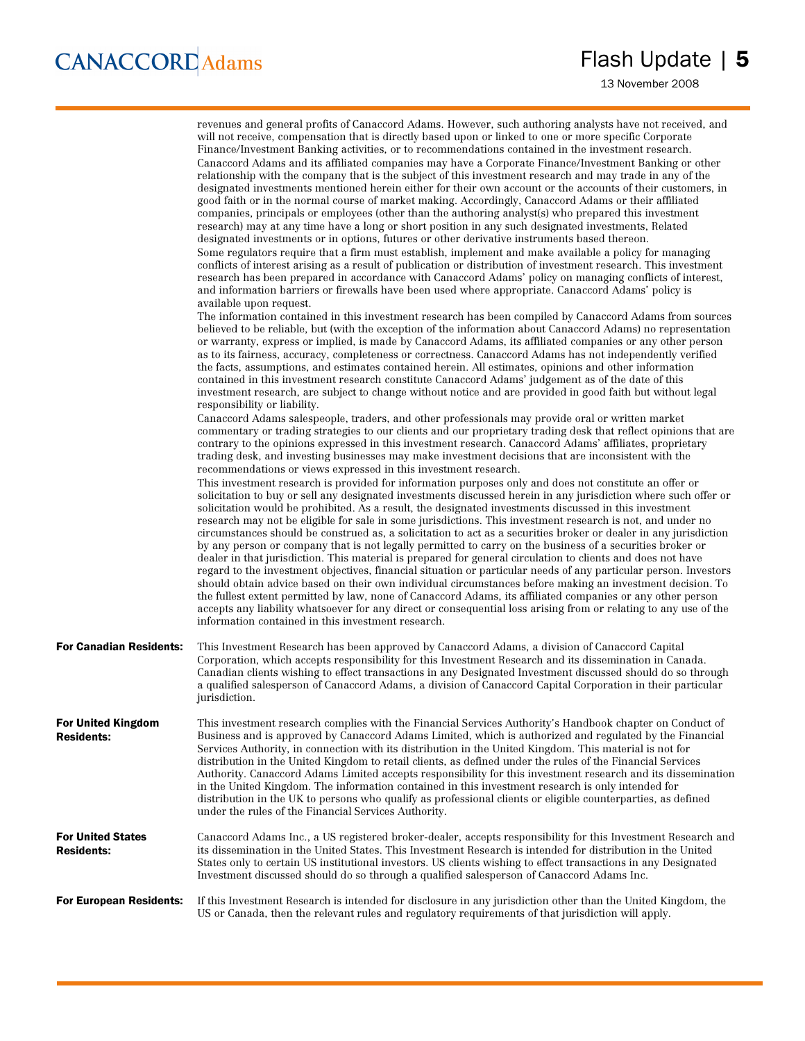|                                                | revenues and general profits of Canaccord Adams. However, such authoring analysts have not received, and<br>will not receive, compensation that is directly based upon or linked to one or more specific Corporate<br>Finance/Investment Banking activities, or to recommendations contained in the investment research.<br>Canaccord Adams and its affiliated companies may have a Corporate Finance/Investment Banking or other<br>relationship with the company that is the subject of this investment research and may trade in any of the<br>designated investments mentioned herein either for their own account or the accounts of their customers, in<br>good faith or in the normal course of market making. Accordingly, Canaccord Adams or their affiliated<br>companies, principals or employees (other than the authoring analyst(s) who prepared this investment<br>research) may at any time have a long or short position in any such designated investments, Related<br>designated investments or in options, futures or other derivative instruments based thereon.<br>Some regulators require that a firm must establish, implement and make available a policy for managing<br>conflicts of interest arising as a result of publication or distribution of investment research. This investment<br>research has been prepared in accordance with Canaccord Adams' policy on managing conflicts of interest,<br>and information barriers or firewalls have been used where appropriate. Canaccord Adams' policy is<br>available upon request. |
|------------------------------------------------|------------------------------------------------------------------------------------------------------------------------------------------------------------------------------------------------------------------------------------------------------------------------------------------------------------------------------------------------------------------------------------------------------------------------------------------------------------------------------------------------------------------------------------------------------------------------------------------------------------------------------------------------------------------------------------------------------------------------------------------------------------------------------------------------------------------------------------------------------------------------------------------------------------------------------------------------------------------------------------------------------------------------------------------------------------------------------------------------------------------------------------------------------------------------------------------------------------------------------------------------------------------------------------------------------------------------------------------------------------------------------------------------------------------------------------------------------------------------------------------------------------------------------------------------------------------|
|                                                | The information contained in this investment research has been compiled by Canaccord Adams from sources<br>believed to be reliable, but (with the exception of the information about Canaccord Adams) no representation<br>or warranty, express or implied, is made by Canaccord Adams, its affiliated companies or any other person<br>as to its fairness, accuracy, completeness or correctness. Canaccord Adams has not independently verified<br>the facts, assumptions, and estimates contained herein. All estimates, opinions and other information<br>contained in this investment research constitute Canaccord Adams' judgement as of the date of this<br>investment research, are subject to change without notice and are provided in good faith but without legal<br>responsibility or liability.                                                                                                                                                                                                                                                                                                                                                                                                                                                                                                                                                                                                                                                                                                                                                   |
|                                                | Canaccord Adams salespeople, traders, and other professionals may provide oral or written market<br>commentary or trading strategies to our clients and our proprietary trading desk that reflect opinions that are<br>contrary to the opinions expressed in this investment research. Canaccord Adams' affiliates, proprietary<br>trading desk, and investing businesses may make investment decisions that are inconsistent with the<br>recommendations or views expressed in this investment research.                                                                                                                                                                                                                                                                                                                                                                                                                                                                                                                                                                                                                                                                                                                                                                                                                                                                                                                                                                                                                                                        |
|                                                | This investment research is provided for information purposes only and does not constitute an offer or<br>solicitation to buy or sell any designated investments discussed herein in any jurisdiction where such offer or<br>solicitation would be prohibited. As a result, the designated investments discussed in this investment<br>research may not be eligible for sale in some jurisdictions. This investment research is not, and under no<br>circumstances should be construed as, a solicitation to act as a securities broker or dealer in any jurisdiction<br>by any person or company that is not legally permitted to carry on the business of a securities broker or<br>dealer in that jurisdiction. This material is prepared for general circulation to clients and does not have<br>regard to the investment objectives, financial situation or particular needs of any particular person. Investors<br>should obtain advice based on their own individual circumstances before making an investment decision. To<br>the fullest extent permitted by law, none of Canaccord Adams, its affiliated companies or any other person<br>accepts any liability whatsoever for any direct or consequential loss arising from or relating to any use of the<br>information contained in this investment research.                                                                                                                                                                                                                                       |
| <b>For Canadian Residents:</b>                 | This Investment Research has been approved by Canaccord Adams, a division of Canaccord Capital<br>Corporation, which accepts responsibility for this Investment Research and its dissemination in Canada.<br>Canadian clients wishing to effect transactions in any Designated Investment discussed should do so through<br>a qualified salesperson of Canaccord Adams, a division of Canaccord Capital Corporation in their particular<br>jurisdiction.                                                                                                                                                                                                                                                                                                                                                                                                                                                                                                                                                                                                                                                                                                                                                                                                                                                                                                                                                                                                                                                                                                         |
| <b>For United Kingdom</b><br><b>Residents:</b> | This investment research complies with the Financial Services Authority's Handbook chapter on Conduct of<br>Business and is approved by Canaccord Adams Limited, which is authorized and regulated by the Financial<br>Services Authority, in connection with its distribution in the United Kingdom. This material is not for<br>distribution in the United Kingdom to retail clients, as defined under the rules of the Financial Services<br>Authority. Canaccord Adams Limited accepts responsibility for this investment research and its dissemination<br>in the United Kingdom. The information contained in this investment research is only intended for<br>distribution in the UK to persons who qualify as professional clients or eligible counterparties, as defined<br>under the rules of the Financial Services Authority.                                                                                                                                                                                                                                                                                                                                                                                                                                                                                                                                                                                                                                                                                                                        |
| <b>For United States</b><br><b>Residents:</b>  | Canaccord Adams Inc., a US registered broker-dealer, accepts responsibility for this Investment Research and<br>its dissemination in the United States. This Investment Research is intended for distribution in the United<br>States only to certain US institutional investors. US clients wishing to effect transactions in any Designated<br>Investment discussed should do so through a qualified salesperson of Canaccord Adams Inc.                                                                                                                                                                                                                                                                                                                                                                                                                                                                                                                                                                                                                                                                                                                                                                                                                                                                                                                                                                                                                                                                                                                       |
| <b>For European Residents:</b>                 | If this Investment Research is intended for disclosure in any jurisdiction other than the United Kingdom, the<br>US or Canada, then the relevant rules and regulatory requirements of that jurisdiction will apply.                                                                                                                                                                                                                                                                                                                                                                                                                                                                                                                                                                                                                                                                                                                                                                                                                                                                                                                                                                                                                                                                                                                                                                                                                                                                                                                                              |